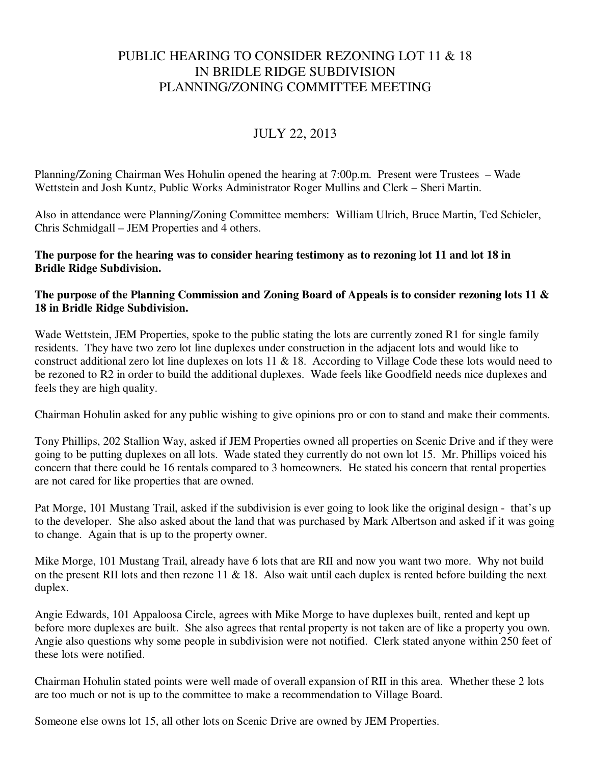## PUBLIC HEARING TO CONSIDER REZONING LOT 11 & 18 IN BRIDLE RIDGE SUBDIVISION PLANNING/ZONING COMMITTEE MEETING

## JULY 22, 2013

Planning/Zoning Chairman Wes Hohulin opened the hearing at 7:00p.m. Present were Trustees – Wade Wettstein and Josh Kuntz, Public Works Administrator Roger Mullins and Clerk – Sheri Martin.

Also in attendance were Planning/Zoning Committee members: William Ulrich, Bruce Martin, Ted Schieler, Chris Schmidgall – JEM Properties and 4 others.

**The purpose for the hearing was to consider hearing testimony as to rezoning lot 11 and lot 18 in Bridle Ridge Subdivision.** 

## **The purpose of the Planning Commission and Zoning Board of Appeals is to consider rezoning lots 11 & 18 in Bridle Ridge Subdivision.**

Wade Wettstein, JEM Properties, spoke to the public stating the lots are currently zoned R1 for single family residents. They have two zero lot line duplexes under construction in the adjacent lots and would like to construct additional zero lot line duplexes on lots 11 & 18. According to Village Code these lots would need to be rezoned to R2 in order to build the additional duplexes. Wade feels like Goodfield needs nice duplexes and feels they are high quality.

Chairman Hohulin asked for any public wishing to give opinions pro or con to stand and make their comments.

Tony Phillips, 202 Stallion Way, asked if JEM Properties owned all properties on Scenic Drive and if they were going to be putting duplexes on all lots. Wade stated they currently do not own lot 15. Mr. Phillips voiced his concern that there could be 16 rentals compared to 3 homeowners. He stated his concern that rental properties are not cared for like properties that are owned.

Pat Morge, 101 Mustang Trail, asked if the subdivision is ever going to look like the original design - that's up to the developer. She also asked about the land that was purchased by Mark Albertson and asked if it was going to change. Again that is up to the property owner.

Mike Morge, 101 Mustang Trail, already have 6 lots that are RII and now you want two more. Why not build on the present RII lots and then rezone 11 & 18. Also wait until each duplex is rented before building the next duplex.

Angie Edwards, 101 Appaloosa Circle, agrees with Mike Morge to have duplexes built, rented and kept up before more duplexes are built. She also agrees that rental property is not taken are of like a property you own. Angie also questions why some people in subdivision were not notified. Clerk stated anyone within 250 feet of these lots were notified.

Chairman Hohulin stated points were well made of overall expansion of RII in this area. Whether these 2 lots are too much or not is up to the committee to make a recommendation to Village Board.

Someone else owns lot 15, all other lots on Scenic Drive are owned by JEM Properties.